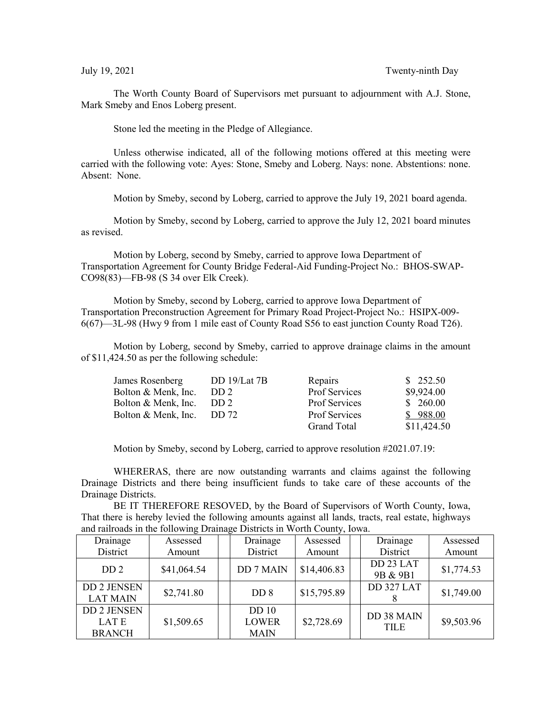The Worth County Board of Supervisors met pursuant to adjournment with A.J. Stone, Mark Smeby and Enos Loberg present.

Stone led the meeting in the Pledge of Allegiance.

Unless otherwise indicated, all of the following motions offered at this meeting were carried with the following vote: Ayes: Stone, Smeby and Loberg. Nays: none. Abstentions: none. Absent: None.

Motion by Smeby, second by Loberg, carried to approve the July 19, 2021 board agenda.

Motion by Smeby, second by Loberg, carried to approve the July 12, 2021 board minutes as revised.

Motion by Loberg, second by Smeby, carried to approve Iowa Department of Transportation Agreement for County Bridge Federal-Aid Funding-Project No.: BHOS-SWAP-CO98(83)—FB-98 (S 34 over Elk Creek).

Motion by Smeby, second by Loberg, carried to approve Iowa Department of Transportation Preconstruction Agreement for Primary Road Project-Project No.: HSIPX-009- 6(67)—3L-98 (Hwy 9 from 1 mile east of County Road S56 to east junction County Road T26).

Motion by Loberg, second by Smeby, carried to approve drainage claims in the amount of \$11,424.50 as per the following schedule:

| James Rosenberg     | DD $19/Lat$ 7B  | Repairs              | \$252.50    |
|---------------------|-----------------|----------------------|-------------|
| Bolton & Menk, Inc. | DD <sub>2</sub> | Prof Services        | \$9,924.00  |
| Bolton & Menk, Inc. | DD 2            | Prof Services        | \$260.00    |
| Bolton & Menk, Inc. | DD 72           | <b>Prof Services</b> | \$988.00    |
|                     |                 | <b>Grand Total</b>   | \$11,424.50 |

Motion by Smeby, second by Loberg, carried to approve resolution #2021.07.19:

WHERERAS, there are now outstanding warrants and claims against the following Drainage Districts and there being insufficient funds to take care of these accounts of the Drainage Districts.

BE IT THEREFORE RESOVED, by the Board of Supervisors of Worth County, Iowa, That there is hereby levied the following amounts against all lands, tracts, real estate, highways and railroads in the following Drainage Districts in Worth County, Iowa.

| Drainage                                     | Assessed    | Drainage                                        | Assessed    | Drainage                  | Assessed   |
|----------------------------------------------|-------------|-------------------------------------------------|-------------|---------------------------|------------|
| District                                     | Amount      | District                                        | Amount      | District                  | Amount     |
| DD <sub>2</sub>                              | \$41,064.54 | <b>DD7MAIN</b>                                  | \$14,406.83 | DD 23 LAT<br>9B & 9B1     | \$1,774.53 |
| <b>DD 2 JENSEN</b><br><b>LAT MAIN</b>        | \$2,741.80  | DD <sub>8</sub>                                 | \$15,795.89 | DD 327 LAT                | \$1,749.00 |
| <b>DD 2 JENSEN</b><br>LAT E<br><b>BRANCH</b> | \$1,509.65  | DD <sub>10</sub><br><b>LOWER</b><br><b>MAIN</b> | \$2,728.69  | DD 38 MAIN<br><b>TILE</b> | \$9,503.96 |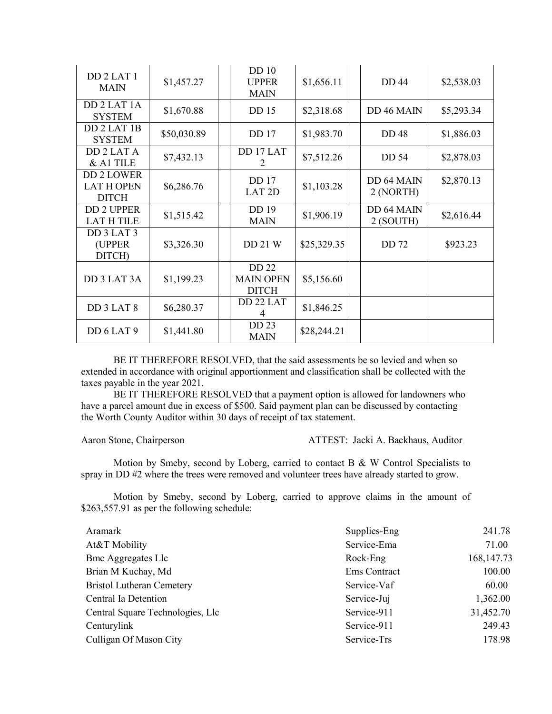| DD <sub>2</sub> LAT <sub>1</sub><br><b>MAIN</b>        | \$1,457.27  | DD <sub>10</sub><br><b>UPPER</b><br><b>MAIN</b>  | \$1,656.11  | <b>DD</b> 44            | \$2,538.03 |
|--------------------------------------------------------|-------------|--------------------------------------------------|-------------|-------------------------|------------|
| DD 2 LAT 1A<br><b>SYSTEM</b>                           | \$1,670.88  | DD 15                                            | \$2,318.68  | DD 46 MAIN              | \$5,293.34 |
| DD 2 LAT 1B<br><b>SYSTEM</b>                           | \$50,030.89 | DD 17                                            | \$1,983.70  | <b>DD48</b>             | \$1,886.03 |
| DD 2 LAT A<br>& A1 TILE                                | \$7,432.13  | DD 17 LAT<br>2                                   | \$7,512.26  | DD 54                   | \$2,878.03 |
| <b>DD 2 LOWER</b><br><b>LAT H OPEN</b><br><b>DITCH</b> | \$6,286.76  | <b>DD</b> 17<br>LAT <sub>2D</sub>                | \$1,103.28  | DD 64 MAIN<br>2 (NORTH) | \$2,870.13 |
| <b>DD 2 UPPER</b><br><b>LAT H TILE</b>                 | \$1,515.42  | DD 19<br><b>MAIN</b>                             | \$1,906.19  | DD 64 MAIN<br>2 (SOUTH) | \$2,616.44 |
| DD 3 LAT 3<br>(UPPER)<br>DITCH)                        | \$3,326.30  | DD 21 W                                          | \$25,329.35 | <b>DD72</b>             | \$923.23   |
| DD 3 LAT 3A                                            | \$1,199.23  | <b>DD 22</b><br><b>MAIN OPEN</b><br><b>DITCH</b> | \$5,156.60  |                         |            |
| DD 3 LAT 8                                             | \$6,280.37  | DD 22 LAT<br>4                                   | \$1,846.25  |                         |            |
| DD 6 LAT 9                                             | \$1,441.80  | DD 23<br><b>MAIN</b>                             | \$28,244.21 |                         |            |

BE IT THEREFORE RESOLVED, that the said assessments be so levied and when so extended in accordance with original apportionment and classification shall be collected with the taxes payable in the year 2021.

BE IT THEREFORE RESOLVED that a payment option is allowed for landowners who have a parcel amount due in excess of \$500. Said payment plan can be discussed by contacting the Worth County Auditor within 30 days of receipt of tax statement.

Aaron Stone, Chairperson ATTEST: Jacki A. Backhaus, Auditor

Motion by Smeby, second by Loberg, carried to contact B & W Control Specialists to spray in DD #2 where the trees were removed and volunteer trees have already started to grow.

Motion by Smeby, second by Loberg, carried to approve claims in the amount of \$263,557.91 as per the following schedule:

| Aramark                          | Supplies-Eng | 241.78       |
|----------------------------------|--------------|--------------|
| At&T Mobility                    | Service-Ema  | 71.00        |
| <b>Bmc Aggregates Llc</b>        | Rock-Eng     | 168, 147. 73 |
| Brian M Kuchay, Md               | Ems Contract | 100.00       |
| <b>Bristol Lutheran Cemetery</b> | Service-Vaf  | 60.00        |
| Central Ia Detention             | Service-Juj  | 1,362.00     |
| Central Square Technologies, Llc | Service-911  | 31,452.70    |
| Centurylink                      | Service-911  | 249.43       |
| Culligan Of Mason City           | Service-Trs  | 178.98       |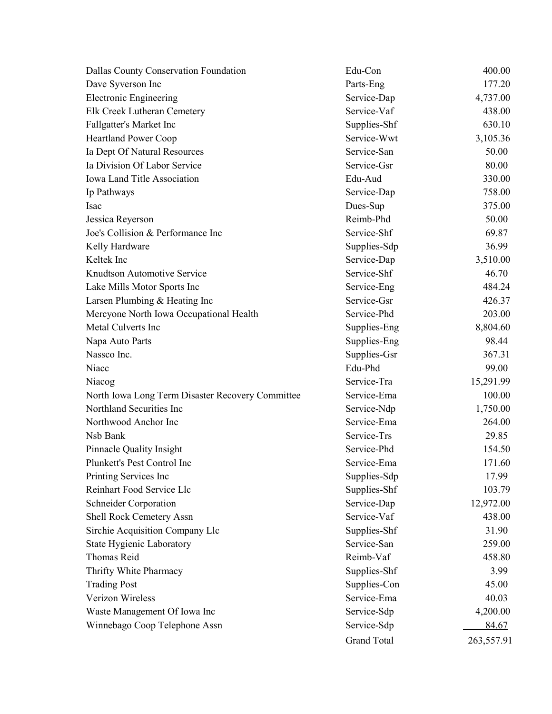| Dallas County Conservation Foundation            | Edu-Con            | 400.00     |
|--------------------------------------------------|--------------------|------------|
| Dave Syverson Inc                                | Parts-Eng          | 177.20     |
| <b>Electronic Engineering</b>                    | Service-Dap        | 4,737.00   |
| Elk Creek Lutheran Cemetery                      | Service-Vaf        | 438.00     |
| Fallgatter's Market Inc                          | Supplies-Shf       | 630.10     |
| <b>Heartland Power Coop</b>                      | Service-Wwt        | 3,105.36   |
| Ia Dept Of Natural Resources                     | Service-San        | 50.00      |
| Ia Division Of Labor Service                     | Service-Gsr        | 80.00      |
| Iowa Land Title Association                      | Edu-Aud            | 330.00     |
| Ip Pathways                                      | Service-Dap        | 758.00     |
| Isac                                             | Dues-Sup           | 375.00     |
| Jessica Reyerson                                 | Reimb-Phd          | 50.00      |
| Joe's Collision & Performance Inc                | Service-Shf        | 69.87      |
| Kelly Hardware                                   | Supplies-Sdp       | 36.99      |
| Keltek Inc                                       | Service-Dap        | 3,510.00   |
| Knudtson Automotive Service                      | Service-Shf        | 46.70      |
| Lake Mills Motor Sports Inc                      | Service-Eng        | 484.24     |
| Larsen Plumbing & Heating Inc                    | Service-Gsr        | 426.37     |
| Mercyone North Iowa Occupational Health          | Service-Phd        | 203.00     |
| Metal Culverts Inc                               | Supplies-Eng       | 8,804.60   |
| Napa Auto Parts                                  | Supplies-Eng       | 98.44      |
| Nassco Inc.                                      | Supplies-Gsr       | 367.31     |
| Niacc                                            | Edu-Phd            | 99.00      |
| Niacog                                           | Service-Tra        | 15,291.99  |
| North Iowa Long Term Disaster Recovery Committee | Service-Ema        | 100.00     |
| Northland Securities Inc                         | Service-Ndp        | 1,750.00   |
| Northwood Anchor Inc                             | Service-Ema        | 264.00     |
| Nsb Bank                                         | Service-Trs        | 29.85      |
| Pinnacle Quality Insight                         | Service-Phd        | 154.50     |
| Plunkett's Pest Control Inc                      | Service-Ema        | 171.60     |
| Printing Services Inc                            | Supplies-Sdp       | 17.99      |
| Reinhart Food Service Llc                        | Supplies-Shf       | 103.79     |
| <b>Schneider Corporation</b>                     | Service-Dap        | 12,972.00  |
| Shell Rock Cemetery Assn                         | Service-Vaf        | 438.00     |
| Sirchie Acquisition Company Llc                  | Supplies-Shf       | 31.90      |
| State Hygienic Laboratory                        | Service-San        | 259.00     |
| <b>Thomas Reid</b>                               | Reimb-Vaf          | 458.80     |
| Thrifty White Pharmacy                           | Supplies-Shf       | 3.99       |
| <b>Trading Post</b>                              | Supplies-Con       | 45.00      |
| Verizon Wireless                                 | Service-Ema        | 40.03      |
| Waste Management Of Iowa Inc                     | Service-Sdp        | 4,200.00   |
| Winnebago Coop Telephone Assn                    | Service-Sdp        | 84.67      |
|                                                  | <b>Grand Total</b> | 263,557.91 |